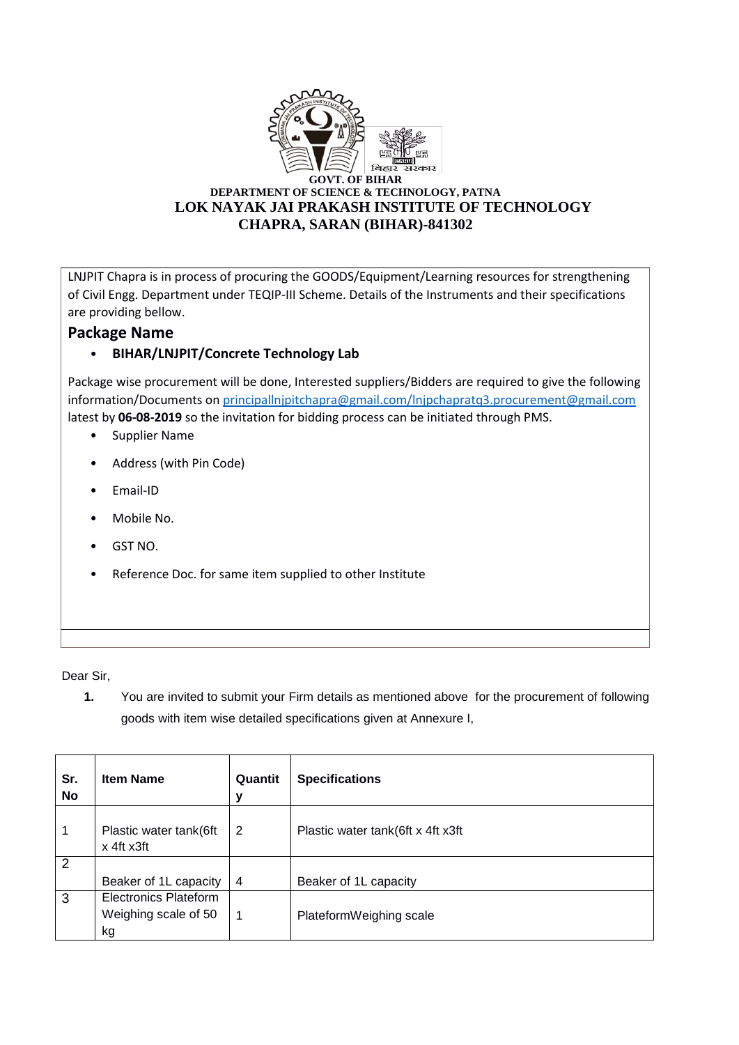

LNJPIT Chapra is in process of procuring the GOODS/Equipment/Learning resources for strengthening of Civil Engg. Department under TEQIP-III Scheme. Details of the Instruments and their specifications are providing bellow.

## **Package Name**

## • **BIHAR/LNJPIT/Concrete Technology Lab**

Package wise procurement will be done, Interested suppliers/Bidders are required to give the following information/Documents o[n principallnjpitchapra@gmail.com/lnjpchapratq3.procurement@gmail.com](mailto:principallnjpitchapra@gmail.com/lnjpchapratq3.procurement@gmail.com) latest by **06-08-2019** so the invitation for bidding process can be initiated through PMS.

- Supplier Name
- Address (with Pin Code)
- Email-ID
- Mobile No.
- GST NO.
- Reference Doc. for same item supplied to other Institute

Dear Sir,

**1.** You are invited to submit your Firm details as mentioned above for the procurement of following goods with item wise detailed specifications given at Annexure I,

| Sr.<br>No      | <b>Item Name</b>                     | Quantit<br>ν   | <b>Specifications</b>             |
|----------------|--------------------------------------|----------------|-----------------------------------|
| 1              | Plastic water tank(6ft<br>x 4ft x3ft | 2              | Plastic water tank(6ft x 4ft x3ft |
| $\overline{2}$ |                                      |                |                                   |
|                | Beaker of 1L capacity                | $\overline{4}$ | Beaker of 1L capacity             |
| 3              | Electronics Plateform                |                |                                   |
|                | Weighing scale of 50<br>kg           |                | PlateformWeighing scale           |